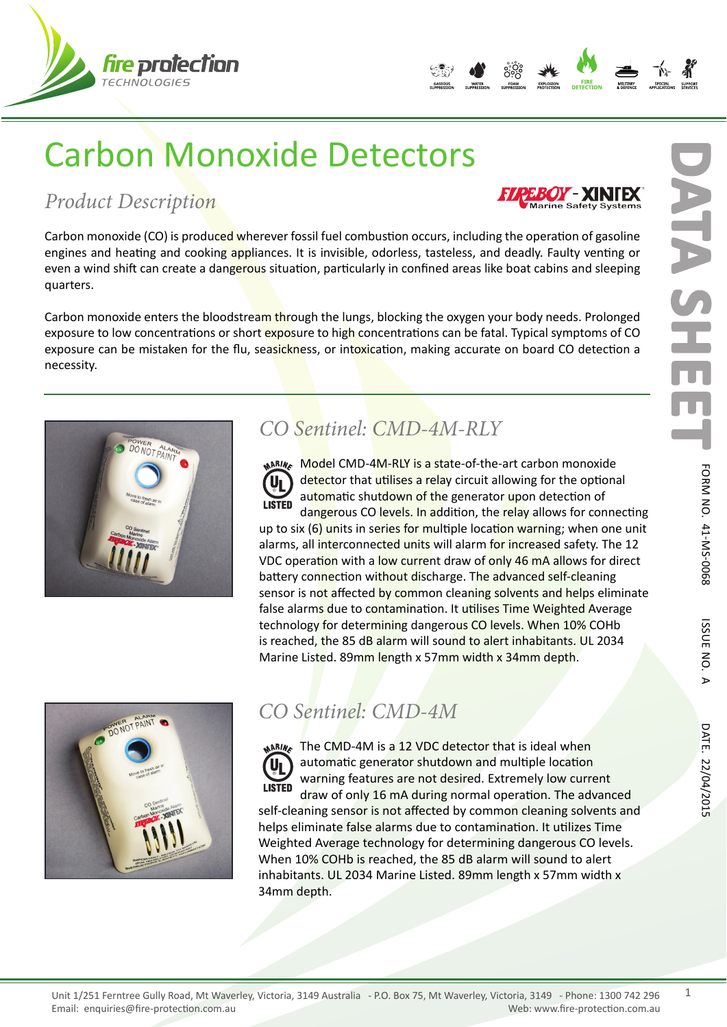



**EXINTEX** 

# Carbon Monoxide Detectors

## *Product Description*

Carbon monoxide (CO) is produced wherever fossil fuel combustion occurs, including the operation of gasoline engines and heating and cooking appliances. It is invisible, odorless, tasteless, and deadly. Faulty venting or even a wind shift can create a dangerous situation, particularly in confined areas like boat cabins and sleeping quarters.

Carbon monoxide enters the bloodstream through the lungs, blocking the oxygen your body needs. Prolonged exposure to low concentrations or short exposure to high concentrations can be fatal. Typical symptoms of CO exposure can be mistaken for the flu, seasickness, or intoxication, making accurate on board CO detection a necessity.



## *CO Sentinel: CMD-4M-RLY*

**Model CMD-4M-RLY is a state-of-the-art carbon monoxide** detector that utilises a relay circuit allowing for the optional U automatic shutdown of the generator upon detection of **LISTED** dangerous CO levels. In addition, the relay allows for connecting

up to six  $(6)$  units in series for multiple location warning; when one unit alarms, all interconnected units will alarm for increased safety. The 12 VDC operation with a low current draw of only 46 mA allows for direct battery connection without discharge. The advanced self-cleaning sensor is not affected by common cleaning solvents and helps eliminate false alarms due to contamination. It utilises Time Weighted Average technology for determining dangerous CO levels. When 10% COHb is reached, the 85 dB alarm will sound to alert inhabitants. UL 2034 Marine Listed. 89mm length x 57mm width x 34mm depth.



## *CO Sentinel: CMD-4M*

**NARING** The CMD-4M is a 12 VDC detector that is ideal when automatic generator shutdown and multiple location Uı warning features are not desired. Extremely low current **LISTED** draw of only 16 mA during normal operation. The advanced self-cleaning sensor is not affected by common cleaning solvents and helps eliminate false alarms due to contamination. It utilizes Time Weighted Average technology for determining dangerous CO levels. When 10% COHb is reached, the 85 dB alarm will sound to alert inhabitants. UL 2034 Marine Listed. 89mm length x 57mm width x 34mm depth.

1